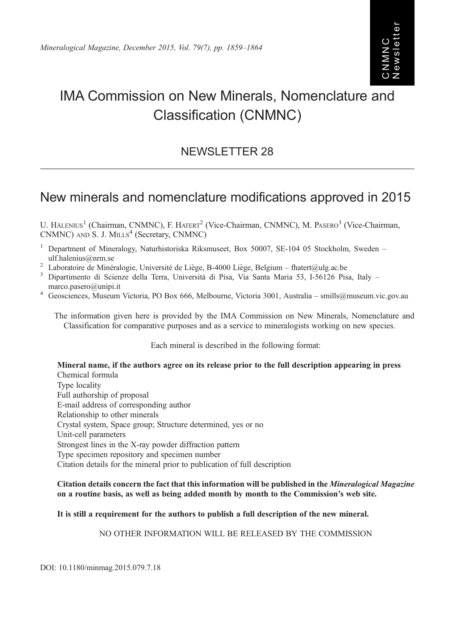# IMA Commission on New Minerals, Nomenclature and Classification (CNMNC)

# NEWSLETTER 28

# New minerals and nomenclature modifications approved in 2015

U. HÅLENIUS<sup>1</sup> (Chairman, CNMNC), F. HATERT<sup>2</sup> (Vice-Chairman, CNMNC), M. PASERO<sup>3</sup> (Vice-Chairman, CNMNC) AND S. J. MILLS<sup>4</sup> (Secretary, CNMNC)

- <sup>1</sup> Department of Mineralogy, Naturhistoriska Riksmuseet, Box 50007, SE-104 05 Stockholm, Sweden [ulf.halenius@nrm.se](mailto:ulf.�halenius@nrm.se)<br>
<sup>2</sup> Laboratoire de Minéralogie, Université de Liège, B-4000 Liège, Belgium – [fhatert@ulg.ac.be](mailto:fhatert@ulg.ac.be)<br>
<sup>3</sup> Dipartimento di Scienze della Terra, Università di Pisa, Via Santa Maria 53, I-56126 Pisa, Italy –
- 
- [marco.pasero@unipi.it](mailto:marco.�pasero@unipi.it) <sup>4</sup> Geosciences, Museum Victoria, PO Box 666, Melbourne, Victoria 3001, Australia [smills@museum.vic.gov.au](mailto:smills@museum.vic.gov.au)
- 

The information given here is provided by the IMA Commission on New Minerals, Nomenclature and Classification for comparative purposes and as a service to mineralogists working on new species.

Each mineral is described in the following format:

Mineral name, if the authors agree on its release prior to the full description appearing in press Chemical formula Type locality Full authorship of proposal E-mail address of corresponding author Relationship to other minerals Crystal system, Space group; Structure determined, yes or no Unit-cell parameters Strongest lines in the X-ray powder diffraction pattern Type specimen repository and specimen number Citation details for the mineral prior to publication of full description

#### Citation details concern the fact that this information will be published in the Mineralogical Magazine on a routine basis, as well as being added month by month to the Commission's web site.

# It is still a requirement for the authors to publish a full description of the new mineral.

NO OTHER INFORMATION WILL BE RELEASED BY THE COMMISSION

DOI: 10.1180/minmag.2015.079.7.18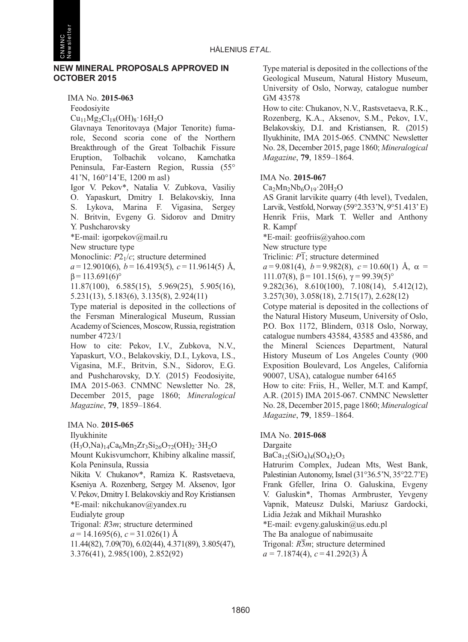

#### NEW MINERAL PROPOSALS APPROVED IN OCTOBER 2015

IMA No. 2015-063 Feodosiyite  $Cu_{11}Mg_{2}Cl_{18}(OH)_{8}\cdot 16H_{2}O$ 

Glavnaya Tenoritovaya (Major Tenorite) fumarole, Second scoria cone of the Northern Breakthrough of the Great Tolbachik Fissure Eruption, Tolbachik volcano, Kamchatka Peninsula, Far-Eastern Region, Russia (55° 41'N, 160°14'E, 1200 m asl)

Igor V. Pekov\*, Natalia V. Zubkova, Vasiliy O. Yapaskurt, Dmitry I. Belakovskiy, Inna S. Lykova, Marina F. Vigasina, Sergey N. Britvin, Evgeny G. Sidorov and Dmitry Y. Pushcharovsky

\*E-mail: igorpekov@mail.ru

New structure type

Monoclinic:  $P2<sub>1</sub>/c$ ; structure determined

 $a = 12.9010(6)$ ,  $b = 16.4193(5)$ ,  $c = 11.9614(5)$  Å,  $β = 113.691(6)°$ 

11.87(100), 6.585(15), 5.969(25), 5.905(16), 5.231(13), 5.183(6), 3.135(8), 2.924(11)

Type material is deposited in the collections of the Fersman Mineralogical Museum, Russian Academy of Sciences, Moscow, Russia, registration number 4723/1

How to cite: Pekov, I.V., Zubkova, N.V., Yapaskurt, V.O., Belakovskiy, D.I., Lykova, I.S., Vigasina, M.F., Britvin, S.N., Sidorov, E.G. and Pushcharovsky, D.Y. (2015) Feodosiyite, IMA 2015-063. CNMNC Newsletter No. 28, December 2015, page 1860; Mineralogical Magazine, <sup>79</sup>, 1859–1864.

# IMA No. 2015-065

Ilyukhinite

 $(H_3O,Na)_{14}Ca_6Mn_2Zr_3Si_{26}O_{72}(OH)_{2}·3H_2O$ 

Mount Kukisvumchorr, Khibiny alkaline massif, Kola Peninsula, Russia

Nikita V. Chukanov\*, Ramiza K. Rastsvetaeva, Kseniya A. Rozenberg, Sergey M. Aksenov, Igor V. Pekov, Dmitry I. Belakovskiy and Roy Kristiansen \*E-mail: nikchukanov@yandex.ru Eudialyte group

Trigonal: R3m; structure determined

 $a = 14.1695(6), c = 31.026(1)$  Å

11.44(82), 7.09(70), 6.02(44), 4.371(89), 3.805(47),

3.376(41), 2.985(100), 2.852(92)

Type material is deposited in the collections of the Geological Museum, Natural History Museum, University of Oslo, Norway, catalogue number GM 43578

How to cite: Chukanov, N.V., Rastsvetaeva, R.K., Rozenberg, K.A., Aksenov, S.M., Pekov, I.V., Belakovskiy, D.I. and Kristiansen, R. (2015) Ilyukhinite, IMA 2015-065. CNMNC Newsletter No. 28, December 2015, page 1860; Mineralogical Magazine, <sup>79</sup>, 1859–1864.

#### IMA No. 2015-067

 $Ca<sub>2</sub>Mn<sub>2</sub>Nb<sub>6</sub>O<sub>19</sub>·20H<sub>2</sub>O$ 

AS Granit larvikite quarry (4th level), Tvedalen, Larvik, Vestfold, Norway (59°2.353'N, 9°51.413' E) Henrik Friis, Mark T. Weller and Anthony R. Kampf

\*E-mail: geofriis@yahoo.com

New structure type

Triclinic:  $\overline{PI}$ ; structure determined

 $a = 9.081(4)$ ,  $b = 9.982(8)$ ,  $c = 10.60(1)$  Å,  $\alpha =$ 111.07(8),  $β = 101.15(6)$ ,  $γ = 99.39(5)°$ 

9.282(36), 8.610(100), 7.108(14), 5.412(12), 3.257(30), 3.058(18), 2.715(17), 2.628(12)

Cotype material is deposited in the collections of the Natural History Museum, University of Oslo, P.O. Box 1172, Blindern, 0318 Oslo, Norway, catalogue numbers 43584, 43585 and 43586, and the Mineral Sciences Department, Natural History Museum of Los Angeles County (900 Exposition Boulevard, Los Angeles, California 90007, USA), catalogue number 64165 How to cite: Friis, H., Weller, M.T. and Kampf,

A.R. (2015) IMA 2015-067. CNMNC Newsletter No. 28, December 2015, page 1860; Mineralogical Magazine, <sup>79</sup>, 1859–1864.

# IMA No. 2015-068

Dargaite

 $BaCa_{12}(SiO_4)_{4}(SO_4)_{2}O_3$ 

Hatrurim Complex, Judean Mts, West Bank, Palestinian Autonomy, Israel (31°36.5'N, 35°22.7'E) Frank Gfeller, Irina O. Galuskina, Evgeny V. Galuskin\*, Thomas Armbruster, Yevgeny Vapnik, Mateusz Dulski, Mariusz Gardocki, Lidia Jeżak and Mikhail Murashko \*E-mail: evgeny.galuskin@us.edu.pl The Ba analogue of nabimusaite Trigonal:  $R\overline{3}m$ ; structure determined  $a = 7.1874(4), c = 41.292(3)$  Å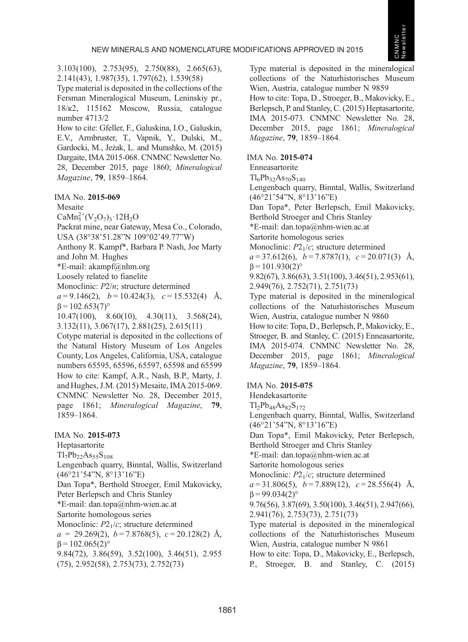3.103(100), 2.753(95), 2.750(88), 2.665(63), 2.141(43), 1.987(35), 1.797(62), 1.539(58)

Type material is deposited in the collections of the Fersman Mineralogical Museum, Leninskiy pr., 18/к2, 115162 Moscow, Russia, catalogue number 4713/2

How to cite: Gfeller, F., Galuskina, I.O., Galuskin, E.V., Armbruster, T., Vapnik, Y., Dulski, M., Gardocki, M., Jeżak, L. and Murashko, M. (2015) Dargaite, IMA 2015-068. CNMNC Newsletter No. 28, December 2015, page 1860; Mineralogical Magazine, <sup>79</sup>, 1859–1864.

IMA No. 2015-069

Mesaite

 $CaMn_5^{2+}(V_2O_7)_3.12H_2O$ 

Packrat mine, near Gateway, Mesa Co., Colorado, USA (38°38'51.28"N 109°02'49.77"W)

Anthony R. Kampf\*, Barbara P. Nash, Joe Marty and John M. Hughes

 $E$ -mail: akampf@nhm.org

Loosely related to fianelite

Monoclinic:  $P2/n$ ; structure determined  $a = 9.146(2)$ ,  $b = 10.424(3)$ ,  $c = 15.532(4)$  Å,

 $β = 102.653(7)°$ 

10.47(100), 8.60(10), 4.30(11), 3.568(24), 3.132(11), 3.067(17), 2.881(25), 2.615(11)

Cotype material is deposited in the collections of the Natural History Museum of Los Angeles County, Los Angeles, California, USA, catalogue numbers 65595, 65596, 65597, 65598 and 65599 How to cite: Kampf, A.R., Nash, B.P., Marty, J. and Hughes, J.M. (2015) Mesaite, IMA 2015-069. CNMNC Newsletter No. 28, December 2015, page 1861; Mineralogical Magazine, <sup>79</sup>, 1859–1864.

# IMA No. 2015-073

Heptasartorite

 $Tl_7Pb_{22}As_{55}S_{108}$ 

Lengenbach quarry, Binntal, Wallis, Switzerland (46°21'54"N, 8°13'16"E) Dan Topa\*, Berthold Stroeger, Emil Makovicky, Peter Berlepsch and Chris Stanley \*E-mail: dan.topa@nhm-wien.ac.at Sartorite homologous series Monoclinic:  $P2<sub>1</sub>/c$ ; structure determined

 $a = 29.269(2), b = 7.8768(5), c = 20.128(2)$  Å,  $β = 102.065(2)°$ 

9.84(72), 3.86(59), 3.52(100), 3.46(51), 2.955 (75), 2.952(58), 2.753(73), 2.752(73)

Type material is deposited in the mineralogical collections of the Naturhistorisches Museum Wien, Austria, catalogue number N 9859 How to cite: Topa, D., Stroeger, B., Makovicky, E., Berlepsch, P. and Stanley, C. (2015) Heptasartorite, IMA 2015-073. CNMNC Newsletter No. 28, December 2015, page 1861; Mineralogical Magazine, <sup>79</sup>, 1859–1864.

# IMA No. 2015-074

Enneasartorite

 $Tl_6Pb_{32}As_{70}S_{140}$ 

Lengenbach quarry, Binntal, Wallis, Switzerland (46°21'54"N, 8°13'16"E)

Dan Topa\*, Peter Berlepsch, Emil Makovicky, Berthold Stroeger and Chris Stanley

\*E-mail: dan.topa@nhm-wien.ac.at

Sartorite homologous series

Monoclinic:  $P2<sub>1</sub>/c$ ; structure determined

 $a = 37.612(6)$ ,  $b = 7.8787(1)$ ,  $c = 20.071(3)$  Å,  $β = 101.930(2)°$ 

9.82(67), 3.86(63), 3.51(100), 3.46(51), 2.953(61), 2.949(76), 2.752(71), 2.751(73)

Type material is deposited in the mineralogical collections of the Naturhistorisches Museum Wien, Austria, catalogue number N 9860

How to cite: Topa, D., Berlepsch, P., Makovicky, E., Stroeger, B. and Stanley, C. (2015) Enneasartorite, IMA 2015-074. CNMNC Newsletter No. 28, December 2015, page 1861; Mineralogical Magazine, <sup>79</sup>, 1859–1864.

IMA No. 2015-075

Hendekasartorite  $Tl_2Pb_{48}As_{82}S_{172}$ Lengenbach quarry, Binntal, Wallis, Switzerland (46°21'54"N, 8°13'16"E) Dan Topa\*, Emil Makovicky, Peter Berlepsch, Berthold Stroeger and Chris Stanley \*E-mail: dan.topa@nhm-wien.ac.at Sartorite homologous series Monoclinic:  $P2<sub>1</sub>/c$ ; structure determined  $a = 31.806(5)$ ,  $b = 7.889(12)$ ,  $c = 28.556(4)$  Å,  $β = 99.034(2)°$ 9.76(56), 3.87(69), 3.50(100), 3.46(51), 2.947(66), 2.941(76), 2.753(73), 2.751(73) Type material is deposited in the mineralogical collections of the Naturhistorisches Museum Wien, Austria, catalogue number N 9861 How to cite: Topa, D., Makovicky, E., Berlepsch, P., Stroeger, B. and Stanley, C. (2015)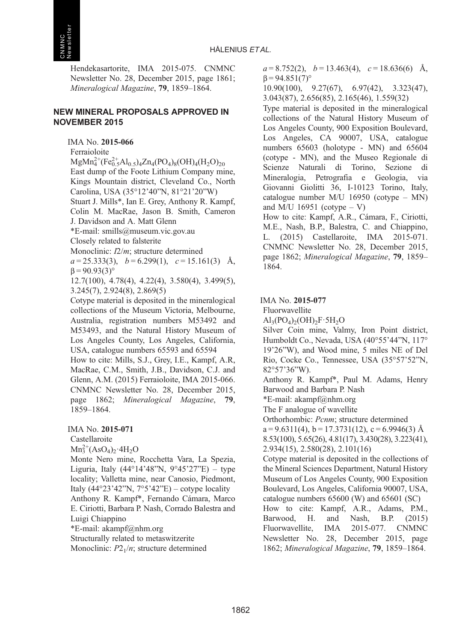Hendekasartorite, IMA 2015-075. CNMNC Newsletter No. 28, December 2015, page 1861; Mineralogical Magazine, <sup>79</sup>, 1859–1864.

#### NEW MINERAL PROPOSALS APPROVED IN NOVEMBER 2015

# IMA No. 2015-066

Ferraioloite

 $MgMn_4^{2+}(Fe_{0.5}^{2+}Al_{0.5})_4Zn_4(PO_4)_8(OH)_4(H_2O)_{20}$ East dump of the Foote Lithium Company mine, Kings Mountain district, Cleveland Co., North Carolina, USA (35°12'40"N, 81°21'20"W)

Stuart J. Mills\*, Ian E. Grey, Anthony R. Kampf, Colin M. MacRae, Jason B. Smith, Cameron J. Davidson and A. Matt Glenn

\*E-mail: smills@museum.vic.gov.au

Closely related to falsterite

Monoclinic: I2/m; structure determined

 $a = 25.333(3)$ ,  $b = 6.299(1)$ ,  $c = 15.161(3)$  Å,  $β = 90.93(3)°$ 

12.7(100), 4.78(4), 4.22(4), 3.580(4), 3.499(5), 3.245(7), 2.924(8), 2.869(5)

Cotype material is deposited in the mineralogical collections of the Museum Victoria, Melbourne, Australia, registration numbers M53492 and M53493, and the Natural History Museum of Los Angeles County, Los Angeles, California, USA, catalogue numbers 65593 and 65594

How to cite: Mills, S.J., Grey, I.E., Kampf, A.R, MacRae, C.M., Smith, J.B., Davidson, C.J. and Glenn, A.M. (2015) Ferraioloite, IMA 2015-066. CNMNC Newsletter No. 28, December 2015, page 1862; Mineralogical Magazine, <sup>79</sup>, 1859–1864.

IMA No. 2015-071

Castellaroite

 $Mn_3^{2+}(AsO_4)_2 \cdot 4H_2O$ 

Monte Nero mine, Rocchetta Vara, La Spezia, Liguria, Italy  $(44^{\circ}14'48''N, 9^{\circ}45'27''E)$  – type locality; Valletta mine, near Canosio, Piedmont, Italy  $(44^{\circ}23'42''N, 7^{\circ}5'42''E)$  – cotype locality Anthony R. Kampf\*, Fernando Cámara, Marco E. Ciriotti, Barbara P. Nash, Corrado Balestra and Luigi Chiappino

\*E-mail: akampf@nhm.org

Structurally related to metaswitzerite Monoclinic:  $P2_1/n$ ; structure determined  $a = 8.752(2)$ ,  $b = 13.463(4)$ ,  $c = 18.636(6)$  Å,  $β = 94.851(7)°$ 

10.90(100), 9.27(67), 6.97(42), 3.323(47), 3.043(87), 2.656(85), 2.165(46), 1.559(32)

Type material is deposited in the mineralogical collections of the Natural History Museum of Los Angeles County, 900 Exposition Boulevard, Los Angeles, CA 90007, USA, catalogue numbers 65603 (holotype - MN) and 65604 (cotype - MN), and the Museo Regionale di Scienze Naturali di Torino, Sezione di Mineralogia, Petrografia e Geologia, via Giovanni Giolitti 36, I-10123 Torino, Italy, catalogue number M/U 16950 (cotype – MN) and M/U 16951 (cotype  $-$  V)

How to cite: Kampf, A.R., Cámara, F., Ciriotti, M.E., Nash, B.P., Balestra, C. and Chiappino, L. (2015) Castellaroite, IMA 2015-071. CNMNC Newsletter No. 28, December 2015, page 1862; Mineralogical Magazine, <sup>79</sup>, 1859– 1864.

#### IMA No. 2015-077

Fluorwavellite

 $\text{Al}_3(\text{PO}_4)_2(\text{OH})_2\text{F}\cdot\text{5H}_2\text{O}$ 

Silver Coin mine, Valmy, Iron Point district, Humboldt Co., Nevada, USA (40°55'44"N, 117° 19'26"W), and Wood mine, 5 miles NE of Del Rio, Cocke Co., Tennessee, USA (35°57'52"N, 82°57'36"W).

Anthony R. Kampf\*, Paul M. Adams, Henry Barwood and Barbara P. Nash

\*E-mail: akampf@nhm.org

The F analogue of wavellite

Orthorhombic: Pcnm; structure determined

 $a = 9.6311(4)$ ,  $b = 17.3731(12)$ ,  $c = 6.9946(3)$  Å

8.53(100), 5.65(26), 4.81(17), 3.430(28), 3.223(41), 2.934(15), 2.580(28), 2.101(16)

Cotype material is deposited in the collections of the Mineral Sciences Department, Natural History Museum of Los Angeles County, 900 Exposition Boulevard, Los Angeles, California 90007, USA, catalogue numbers 65600 (W) and 65601 (SC) How to cite: Kampf, A.R., Adams, P.M., Barwood, H. and Nash, B.P. (2015) Fluorwavellite, IMA 2015-077. CNMNC Newsletter No. 28, December 2015, page 1862; Mineralogical Magazine, <sup>79</sup>, 1859–1864.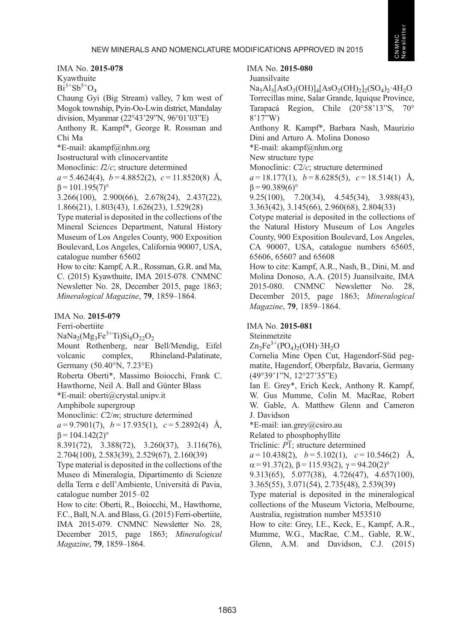IMA No. 2015-078

Kyawthuite

 $Bi^{3+}Sb^{5+}O_4$ 

Chaung Gyi (Big Stream) valley, 7 km west of Mogok township, Pyin-Oo-Lwin district, Mandalay division, Myanmar (22°43'29"N, 96°01'03"E) Anthony R. Kampf\*, George R. Rossman and

Chi Ma

\*E-mail: akampf@nhm.org

Isostructural with clinocervantite

Monoclinic: I2/c; structure determined

 $a = 5.4624(4)$ ,  $b = 4.8852(2)$ ,  $c = 11.8520(8)$  Å,  $β = 101.195(7)°$ 

3.266(100), 2.900(66), 2.678(24), 2.437(22), 1.866(21), 1.803(43), 1.626(23), 1.529(28)

Type material is deposited in the collections of the Mineral Sciences Department, Natural History Museum of Los Angeles County, 900 Exposition Boulevard, Los Angeles, California 90007, USA, catalogue number 65602

How to cite: Kampf, A.R., Rossman, G.R. and Ma, C. (2015) Kyawthuite, IMA 2015-078. CNMNC Newsletter No. 28, December 2015, page 1863; Mineralogical Magazine, <sup>79</sup>, 1859–1864.

#### IMA No. 2015-079

Ferri-obertiite

 $NaNa<sub>2</sub>(Mg<sub>3</sub>Fe<sup>3+</sup>Ti)Si<sub>8</sub>O<sub>22</sub>O<sub>2</sub>$ 

Mount Rothenberg, near Bell/Mendig, Eifel volcanic complex, Rhineland-Palatinate, Germany (50.40°N, 7.23°E)

Roberta Oberti\*, Massimo Boiocchi, Frank C. Hawthorne, Neil A. Ball and Günter Blass

\*E-mail: oberti@crystal.unipv.it

Amphibole supergroup

Monoclinic: C2/m; structure determined

 $a = 9.7901(7)$ ,  $b = 17.935(1)$ ,  $c = 5.2892(4)$  Å,  $β = 104.142(2)°$ 

8.391(72), 3.388(72), 3.260(37), 3.116(76), 2.704(100), 2.583(39), 2.529(67), 2.160(39)

Type material is deposited in the collections of the Museo di Mineralogia, Dipartimento di Scienze della Terra e dell'Ambiente, Università di Pavia, catalogue number 2015–02

How to cite: Oberti, R., Boiocchi, M., Hawthorne, F.C., Ball, N.A. and Blass, G. (2015) Ferri-obertiite, IMA 2015-079. CNMNC Newsletter No. 28, December 2015, page 1863; Mineralogical Magazine, <sup>79</sup>, 1859–1864.

# IMA No. 2015-080

Juansilvaite

 $Na<sub>5</sub>Al<sub>3</sub>[AsO<sub>3</sub>(OH)]<sub>4</sub>[AsO<sub>2</sub>(OH)<sub>2</sub>]<sub>2</sub>(SO<sub>4</sub>)<sub>2</sub>·4H<sub>2</sub>O$ Torrecillas mine, Salar Grande, Iquique Province, Tarapacá Region, Chile (20°58'13"S, 70° 8'17"W)

Anthony R. Kampf\*, Barbara Nash, Maurizio Dini and Arturo A. Molina Donoso

\*E-mail: akampf@nhm.org

New structure type

Monoclinic: C2/c; structure determined

 $a = 18.177(1)$ ,  $b = 8.6285(5)$ ,  $c = 18.514(1)$  Å,  $β = 90.389(6)°$ 

9.25(100), 7.20(34), 4.545(34), 3.988(43), 3.363(42), 3.145(66), 2.960(68), 2.804(33)

Cotype material is deposited in the collections of the Natural History Museum of Los Angeles County, 900 Exposition Boulevard, Los Angeles, CA 90007, USA, catalogue numbers 65605, 65606, 65607 and 65608

How to cite: Kampf, A.R., Nash, B., Dini, M. and Molina Donoso, A.A. (2015) Juansilvaite, IMA 2015-080. CNMNC Newsletter No. 28, December 2015, page 1863; Mineralogical Magazine, <sup>79</sup>, 1859–1864.

#### IMA No. 2015-081

Steinmetzite

 $Zn_2Fe^{3+}(PO_4)_2(OH) \cdot 3H_2O$ 

Cornelia Mine Open Cut, Hagendorf-Süd pegmatite, Hagendorf, Oberpfalz, Bavaria, Germany (49°39'1"N, 12°27'35"E)

Ian E. Grey\*, Erich Keck, Anthony R. Kampf, W. Gus Mumme, Colin M. MacRae, Robert W. Gable, A. Matthew Glenn and Cameron J. Davidson

\*E-mail: ian.grey@csiro.au

Related to phosphophyllite

Triclinic:  $\overline{PI}$ ; structure determined

 $a = 10.438(2), b = 5.102(1), c = 10.546(2)$  Å,

 $\alpha = 91.37(2), \beta = 115.93(2), \gamma = 94.20(2)^\circ$ 

9.313(65), 5.077(38), 4.726(47), 4.657(100),

3.365(55), 3.071(54), 2.735(48), 2.539(39)

Type material is deposited in the mineralogical collections of the Museum Victoria, Melbourne, Australia, registration number M53510

How to cite: Grey, I.E., Keck, E., Kampf, A.R., Mumme, W.G., MacRae, C.M., Gable, R.W., Glenn, A.M. and Davidson, C.J. (2015)